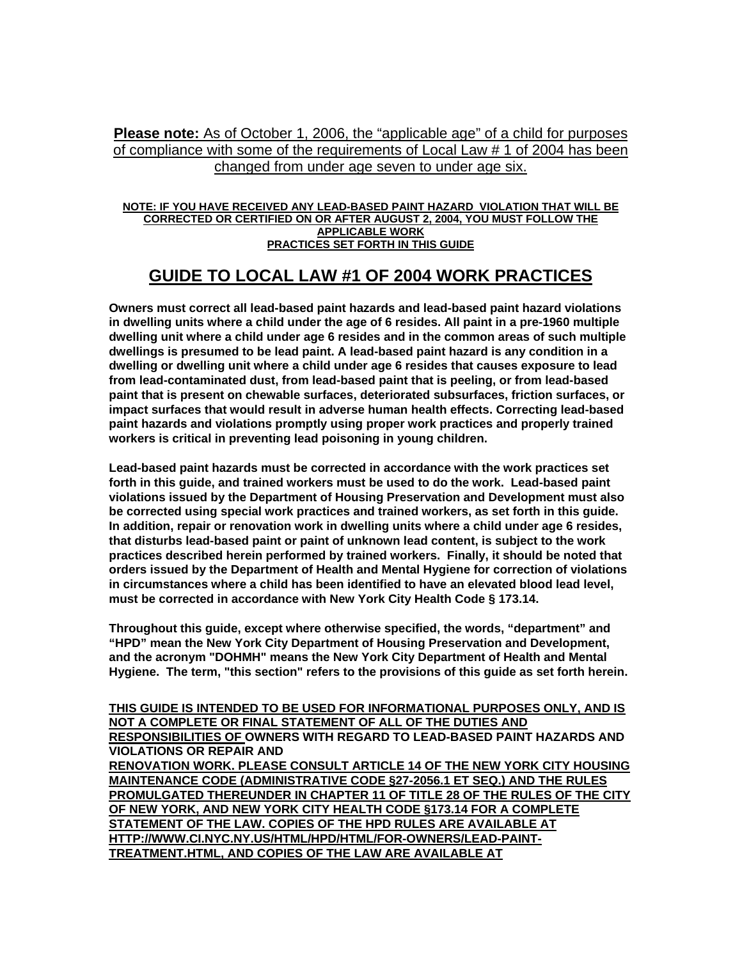**Please note:** As of October 1, 2006, the "applicable age" of a child for purposes of compliance with some of the requirements of Local Law # 1 of 2004 has been changed from under age seven to under age six.

#### **NOTE: IF YOU HAVE RECEIVED ANY LEAD-BASED PAINT HAZARD VIOLATION THAT WILL BE CORRECTED OR CERTIFIED ON OR AFTER AUGUST 2, 2004, YOU MUST FOLLOW THE APPLICABLE WORK PRACTICES SET FORTH IN THIS GUIDE**

# **GUIDE TO LOCAL LAW #1 OF 2004 WORK PRACTICES**

**Owners must correct all lead-based paint hazards and lead-based paint hazard violations in dwelling units where a child under the age of 6 resides. All paint in a pre-1960 multiple dwelling unit where a child under age 6 resides and in the common areas of such multiple dwellings is presumed to be lead paint. A lead-based paint hazard is any condition in a dwelling or dwelling unit where a child under age 6 resides that causes exposure to lead from lead-contaminated dust, from lead-based paint that is peeling, or from lead-based paint that is present on chewable surfaces, deteriorated subsurfaces, friction surfaces, or impact surfaces that would result in adverse human health effects. Correcting lead-based paint hazards and violations promptly using proper work practices and properly trained workers is critical in preventing lead poisoning in young children.** 

**Lead-based paint hazards must be corrected in accordance with the work practices set forth in this guide, and trained workers must be used to do the work. Lead-based paint violations issued by the Department of Housing Preservation and Development must also be corrected using special work practices and trained workers, as set forth in this guide. In addition, repair or renovation work in dwelling units where a child under age 6 resides, that disturbs lead-based paint or paint of unknown lead content, is subject to the work practices described herein performed by trained workers. Finally, it should be noted that orders issued by the Department of Health and Mental Hygiene for correction of violations in circumstances where a child has been identified to have an elevated blood lead level, must be corrected in accordance with New York City Health Code § 173.14.** 

**Throughout this guide, except where otherwise specified, the words, "department" and "HPD" mean the New York City Department of Housing Preservation and Development, and the acronym "DOHMH" means the New York City Department of Health and Mental Hygiene. The term, "this section" refers to the provisions of this guide as set forth herein.** 

**THIS GUIDE IS INTENDED TO BE USED FOR INFORMATIONAL PURPOSES ONLY, AND IS NOT A COMPLETE OR FINAL STATEMENT OF ALL OF THE DUTIES AND RESPONSIBILITIES OF OWNERS WITH REGARD TO LEAD-BASED PAINT HAZARDS AND VIOLATIONS OR REPAIR AND RENOVATION WORK. PLEASE CONSULT ARTICLE 14 OF THE NEW YORK CITY HOUSING MAINTENANCE CODE (ADMINISTRATIVE CODE §27-2056.1 ET SEQ.) AND THE RULES PROMULGATED THEREUNDER IN CHAPTER 11 OF TITLE 28 OF THE RULES OF THE CITY OF NEW YORK, AND NEW YORK CITY HEALTH CODE §173.14 FOR A COMPLETE STATEMENT OF THE LAW. COPIES OF THE HPD RULES ARE AVAILABLE AT HTTP://WWW.CI.NYC.NY.US/HTML/HPD/HTML/FOR-OWNERS/LEAD-PAINT-TREATMENT.HTML, AND COPIES OF THE LAW ARE AVAILABLE AT**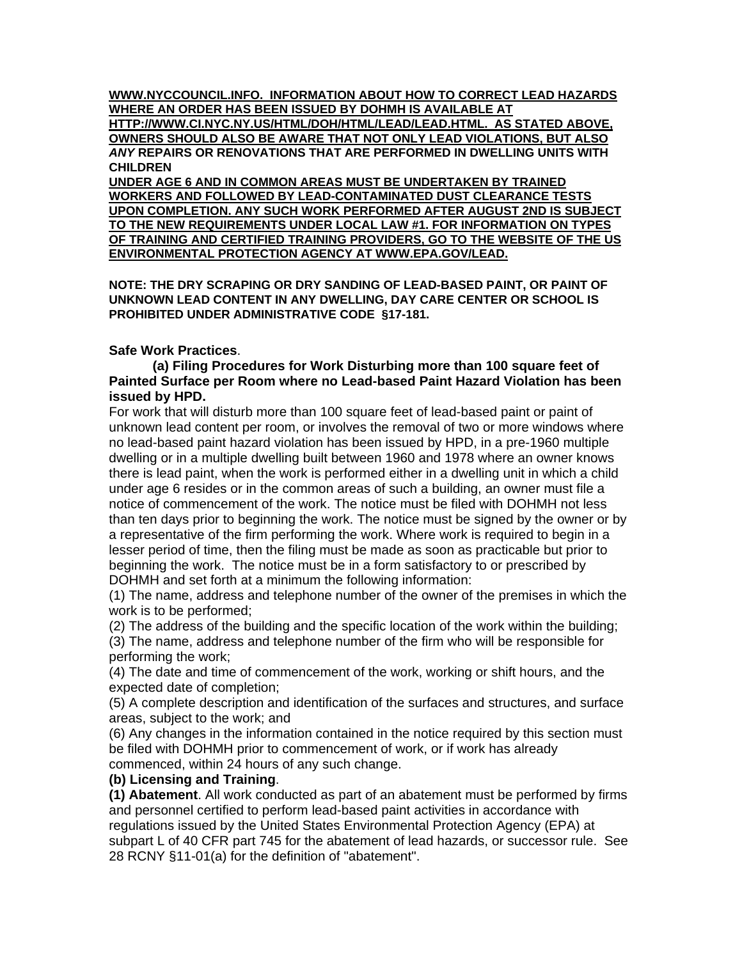**WWW.NYCCOUNCIL.INFO. INFORMATION ABOUT HOW TO CORRECT LEAD HAZARDS WHERE AN ORDER HAS BEEN ISSUED BY DOHMH IS AVAILABLE AT** 

**HTTP://WWW.CI.NYC.NY.US/HTML/DOH/HTML/LEAD/LEAD.HTML. AS STATED ABOVE, OWNERS SHOULD ALSO BE AWARE THAT NOT ONLY LEAD VIOLATIONS, BUT ALSO**  *ANY* **REPAIRS OR RENOVATIONS THAT ARE PERFORMED IN DWELLING UNITS WITH CHILDREN** 

**UNDER AGE 6 AND IN COMMON AREAS MUST BE UNDERTAKEN BY TRAINED WORKERS AND FOLLOWED BY LEAD-CONTAMINATED DUST CLEARANCE TESTS UPON COMPLETION. ANY SUCH WORK PERFORMED AFTER AUGUST 2ND IS SUBJECT TO THE NEW REQUIREMENTS UNDER LOCAL LAW #1. FOR INFORMATION ON TYPES OF TRAINING AND CERTIFIED TRAINING PROVIDERS, GO TO THE WEBSITE OF THE US ENVIRONMENTAL PROTECTION AGENCY AT WWW.EPA.GOV/LEAD.** 

**NOTE: THE DRY SCRAPING OR DRY SANDING OF LEAD-BASED PAINT, OR PAINT OF UNKNOWN LEAD CONTENT IN ANY DWELLING, DAY CARE CENTER OR SCHOOL IS PROHIBITED UNDER ADMINISTRATIVE CODE §17-181.** 

# **Safe Work Practices**.

#### **(a) Filing Procedures for Work Disturbing more than 100 square feet of Painted Surface per Room where no Lead-based Paint Hazard Violation has been issued by HPD.**

For work that will disturb more than 100 square feet of lead-based paint or paint of unknown lead content per room, or involves the removal of two or more windows where no lead-based paint hazard violation has been issued by HPD, in a pre-1960 multiple dwelling or in a multiple dwelling built between 1960 and 1978 where an owner knows there is lead paint, when the work is performed either in a dwelling unit in which a child under age 6 resides or in the common areas of such a building, an owner must file a notice of commencement of the work. The notice must be filed with DOHMH not less than ten days prior to beginning the work. The notice must be signed by the owner or by a representative of the firm performing the work. Where work is required to begin in a lesser period of time, then the filing must be made as soon as practicable but prior to beginning the work. The notice must be in a form satisfactory to or prescribed by DOHMH and set forth at a minimum the following information:

(1) The name, address and telephone number of the owner of the premises in which the work is to be performed;

(2) The address of the building and the specific location of the work within the building; (3) The name, address and telephone number of the firm who will be responsible for performing the work;

(4) The date and time of commencement of the work, working or shift hours, and the expected date of completion;

(5) A complete description and identification of the surfaces and structures, and surface areas, subject to the work; and

(6) Any changes in the information contained in the notice required by this section must be filed with DOHMH prior to commencement of work, or if work has already commenced, within 24 hours of any such change.

# **(b) Licensing and Training**.

**(1) Abatement**. All work conducted as part of an abatement must be performed by firms and personnel certified to perform lead-based paint activities in accordance with regulations issued by the United States Environmental Protection Agency (EPA) at subpart L of 40 CFR part 745 for the abatement of lead hazards, or successor rule. See 28 RCNY §11-01(a) for the definition of "abatement".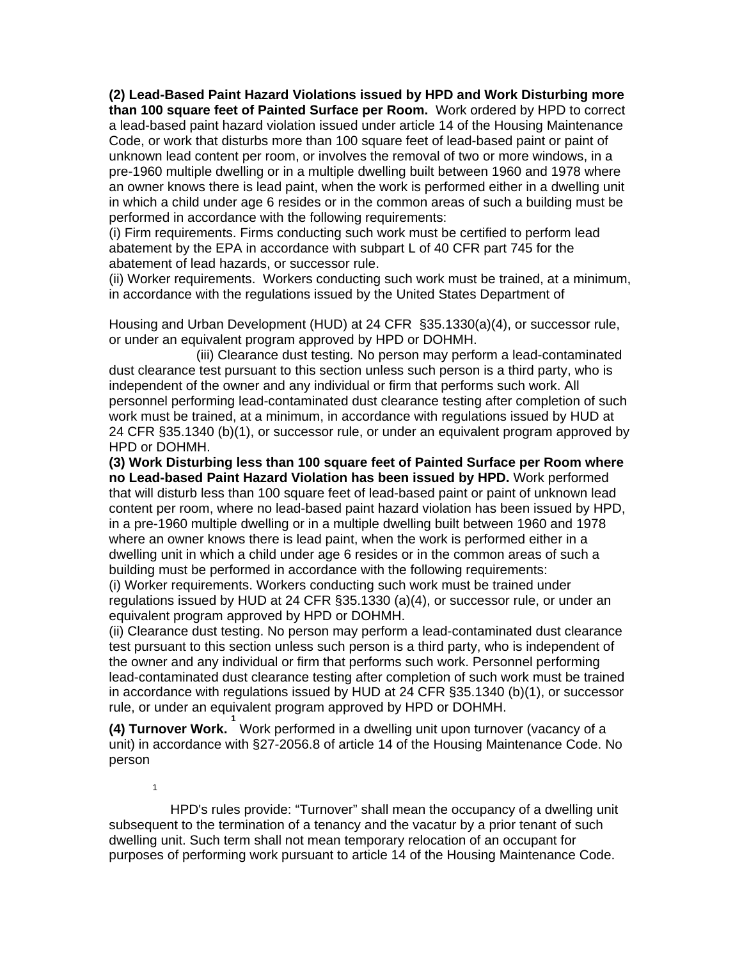**(2) Lead-Based Paint Hazard Violations issued by HPD and Work Disturbing more than 100 square feet of Painted Surface per Room.** Work ordered by HPD to correct a lead-based paint hazard violation issued under article 14 of the Housing Maintenance Code, or work that disturbs more than 100 square feet of lead-based paint or paint of unknown lead content per room, or involves the removal of two or more windows, in a pre-1960 multiple dwelling or in a multiple dwelling built between 1960 and 1978 where an owner knows there is lead paint, when the work is performed either in a dwelling unit in which a child under age 6 resides or in the common areas of such a building must be performed in accordance with the following requirements:

(i) Firm requirements. Firms conducting such work must be certified to perform lead abatement by the EPA in accordance with subpart L of 40 CFR part 745 for the abatement of lead hazards, or successor rule.

(ii) Worker requirements. Workers conducting such work must be trained, at a minimum, in accordance with the regulations issued by the United States Department of

Housing and Urban Development (HUD) at 24 CFR §35.1330(a)(4), or successor rule, or under an equivalent program approved by HPD or DOHMH.

(iii) Clearance dust testing*.* No person may perform a lead-contaminated dust clearance test pursuant to this section unless such person is a third party, who is independent of the owner and any individual or firm that performs such work. All personnel performing lead-contaminated dust clearance testing after completion of such work must be trained, at a minimum, in accordance with regulations issued by HUD at 24 CFR §35.1340 (b)(1), or successor rule, or under an equivalent program approved by HPD or DOHMH.

**(3) Work Disturbing less than 100 square feet of Painted Surface per Room where no Lead-based Paint Hazard Violation has been issued by HPD.** Work performed that will disturb less than 100 square feet of lead-based paint or paint of unknown lead content per room, where no lead-based paint hazard violation has been issued by HPD, in a pre-1960 multiple dwelling or in a multiple dwelling built between 1960 and 1978 where an owner knows there is lead paint, when the work is performed either in a dwelling unit in which a child under age 6 resides or in the common areas of such a building must be performed in accordance with the following requirements:

(i) Worker requirements. Workers conducting such work must be trained under regulations issued by HUD at 24 CFR §35.1330 (a)(4), or successor rule, or under an equivalent program approved by HPD or DOHMH.

(ii) Clearance dust testing. No person may perform a lead-contaminated dust clearance test pursuant to this section unless such person is a third party, who is independent of the owner and any individual or firm that performs such work. Personnel performing lead-contaminated dust clearance testing after completion of such work must be trained in accordance with regulations issued by HUD at 24 CFR §35.1340 (b)(1), or successor rule, or under an equivalent program approved by HPD or DOHMH.

**(4) Turnover Work. 1** Work performed in a dwelling unit upon turnover (vacancy of a unit) in accordance with §27-2056.8 of article 14 of the Housing Maintenance Code. No person

1

 HPD's rules provide: "Turnover" shall mean the occupancy of a dwelling unit subsequent to the termination of a tenancy and the vacatur by a prior tenant of such dwelling unit. Such term shall not mean temporary relocation of an occupant for purposes of performing work pursuant to article 14 of the Housing Maintenance Code.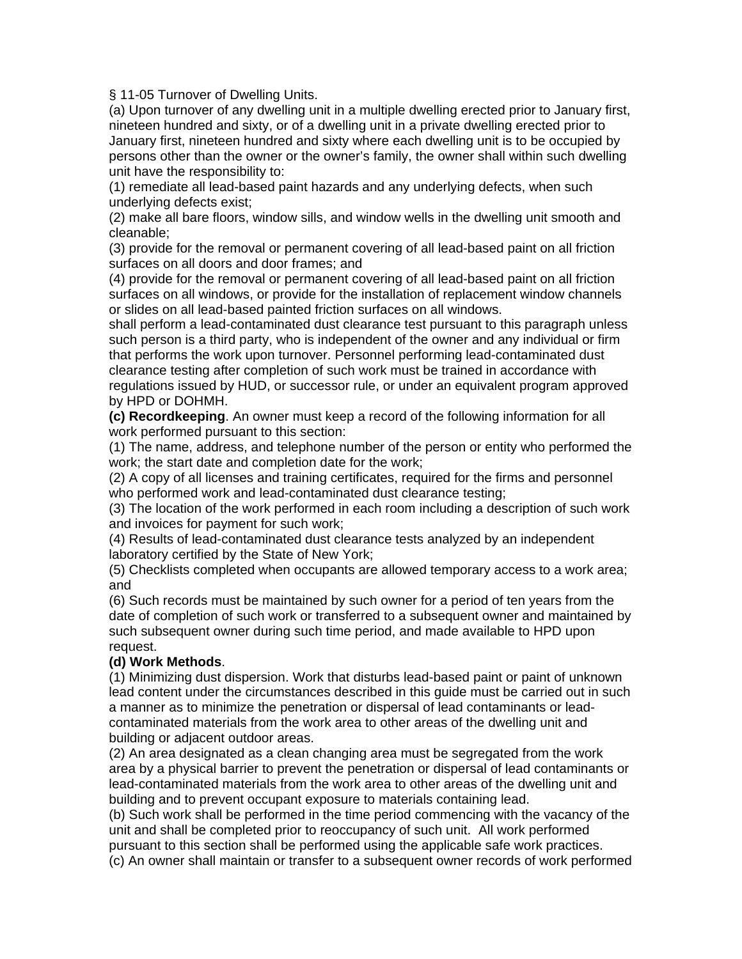§ 11-05 Turnover of Dwelling Units.

(a) Upon turnover of any dwelling unit in a multiple dwelling erected prior to January first, nineteen hundred and sixty, or of a dwelling unit in a private dwelling erected prior to January first, nineteen hundred and sixty where each dwelling unit is to be occupied by persons other than the owner or the owner's family, the owner shall within such dwelling unit have the responsibility to:

(1) remediate all lead-based paint hazards and any underlying defects, when such underlying defects exist;

(2) make all bare floors, window sills, and window wells in the dwelling unit smooth and cleanable;

(3) provide for the removal or permanent covering of all lead-based paint on all friction surfaces on all doors and door frames; and

(4) provide for the removal or permanent covering of all lead-based paint on all friction surfaces on all windows, or provide for the installation of replacement window channels or slides on all lead-based painted friction surfaces on all windows.

shall perform a lead-contaminated dust clearance test pursuant to this paragraph unless such person is a third party, who is independent of the owner and any individual or firm that performs the work upon turnover. Personnel performing lead-contaminated dust clearance testing after completion of such work must be trained in accordance with regulations issued by HUD, or successor rule, or under an equivalent program approved by HPD or DOHMH.

**(c) Recordkeeping**. An owner must keep a record of the following information for all work performed pursuant to this section:

(1) The name, address, and telephone number of the person or entity who performed the work; the start date and completion date for the work;

(2) A copy of all licenses and training certificates, required for the firms and personnel who performed work and lead-contaminated dust clearance testing;

(3) The location of the work performed in each room including a description of such work and invoices for payment for such work;

(4) Results of lead-contaminated dust clearance tests analyzed by an independent laboratory certified by the State of New York;

(5) Checklists completed when occupants are allowed temporary access to a work area; and

(6) Such records must be maintained by such owner for a period of ten years from the date of completion of such work or transferred to a subsequent owner and maintained by such subsequent owner during such time period, and made available to HPD upon request.

# **(d) Work Methods**.

(1) Minimizing dust dispersion. Work that disturbs lead-based paint or paint of unknown lead content under the circumstances described in this guide must be carried out in such a manner as to minimize the penetration or dispersal of lead contaminants or leadcontaminated materials from the work area to other areas of the dwelling unit and building or adjacent outdoor areas.

(2) An area designated as a clean changing area must be segregated from the work area by a physical barrier to prevent the penetration or dispersal of lead contaminants or lead-contaminated materials from the work area to other areas of the dwelling unit and building and to prevent occupant exposure to materials containing lead.

(b) Such work shall be performed in the time period commencing with the vacancy of the unit and shall be completed prior to reoccupancy of such unit. All work performed pursuant to this section shall be performed using the applicable safe work practices.

(c) An owner shall maintain or transfer to a subsequent owner records of work performed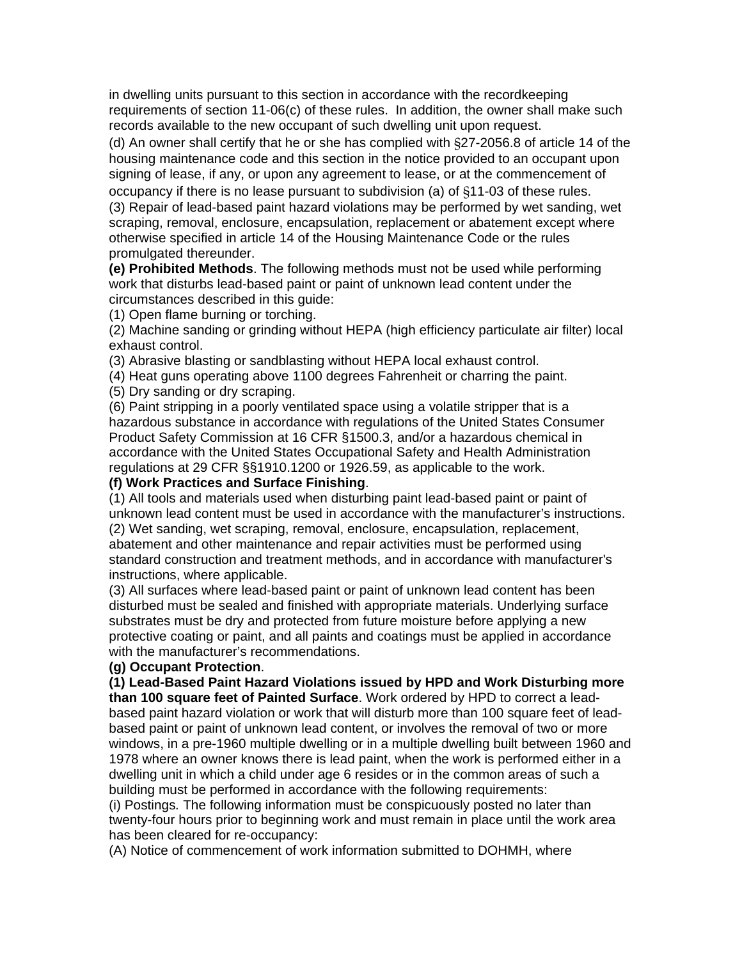in dwelling units pursuant to this section in accordance with the recordkeeping requirements of section 11-06(c) of these rules. In addition, the owner shall make such records available to the new occupant of such dwelling unit upon request.

(d) An owner shall certify that he or she has complied with §27-2056.8 of article 14 of the housing maintenance code and this section in the notice provided to an occupant upon signing of lease, if any, or upon any agreement to lease, or at the commencement of occupancy if there is no lease pursuant to subdivision (a) of §11-03 of these rules.

(3) Repair of lead-based paint hazard violations may be performed by wet sanding, wet scraping, removal, enclosure, encapsulation, replacement or abatement except where otherwise specified in article 14 of the Housing Maintenance Code or the rules promulgated thereunder.

**(e) Prohibited Methods**. The following methods must not be used while performing work that disturbs lead-based paint or paint of unknown lead content under the circumstances described in this guide:

(1) Open flame burning or torching.

(2) Machine sanding or grinding without HEPA (high efficiency particulate air filter) local exhaust control.

(3) Abrasive blasting or sandblasting without HEPA local exhaust control.

(4) Heat guns operating above 1100 degrees Fahrenheit or charring the paint.

(5) Dry sanding or dry scraping.

(6) Paint stripping in a poorly ventilated space using a volatile stripper that is a hazardous substance in accordance with regulations of the United States Consumer Product Safety Commission at 16 CFR §1500.3, and/or a hazardous chemical in accordance with the United States Occupational Safety and Health Administration regulations at 29 CFR §§1910.1200 or 1926.59, as applicable to the work.

# **(f) Work Practices and Surface Finishing**.

(1) All tools and materials used when disturbing paint lead-based paint or paint of unknown lead content must be used in accordance with the manufacturer's instructions. (2) Wet sanding, wet scraping, removal, enclosure, encapsulation, replacement, abatement and other maintenance and repair activities must be performed using standard construction and treatment methods, and in accordance with manufacturer's instructions, where applicable.

(3) All surfaces where lead-based paint or paint of unknown lead content has been disturbed must be sealed and finished with appropriate materials. Underlying surface substrates must be dry and protected from future moisture before applying a new protective coating or paint, and all paints and coatings must be applied in accordance with the manufacturer's recommendations.

#### **(g) Occupant Protection**.

**(1) Lead-Based Paint Hazard Violations issued by HPD and Work Disturbing more than 100 square feet of Painted Surface**. Work ordered by HPD to correct a leadbased paint hazard violation or work that will disturb more than 100 square feet of leadbased paint or paint of unknown lead content, or involves the removal of two or more windows, in a pre-1960 multiple dwelling or in a multiple dwelling built between 1960 and 1978 where an owner knows there is lead paint, when the work is performed either in a dwelling unit in which a child under age 6 resides or in the common areas of such a building must be performed in accordance with the following requirements:

(i) Postings*.* The following information must be conspicuously posted no later than twenty-four hours prior to beginning work and must remain in place until the work area has been cleared for re-occupancy:

(A) Notice of commencement of work information submitted to DOHMH, where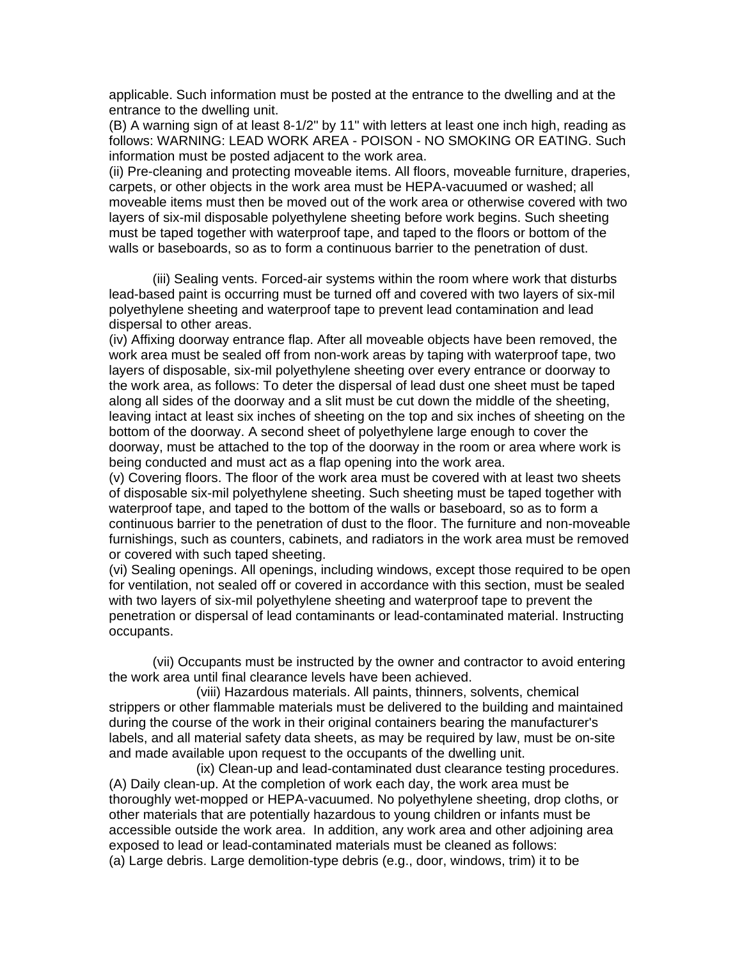applicable. Such information must be posted at the entrance to the dwelling and at the entrance to the dwelling unit.

(B) A warning sign of at least 8-1/2" by 11" with letters at least one inch high, reading as follows: WARNING: LEAD WORK AREA - POISON - NO SMOKING OR EATING. Such information must be posted adjacent to the work area.

(ii) Pre-cleaning and protecting moveable items. All floors, moveable furniture, draperies, carpets, or other objects in the work area must be HEPA-vacuumed or washed; all moveable items must then be moved out of the work area or otherwise covered with two layers of six-mil disposable polyethylene sheeting before work begins. Such sheeting must be taped together with waterproof tape, and taped to the floors or bottom of the walls or baseboards, so as to form a continuous barrier to the penetration of dust.

(iii) Sealing vents. Forced-air systems within the room where work that disturbs lead-based paint is occurring must be turned off and covered with two layers of six-mil polyethylene sheeting and waterproof tape to prevent lead contamination and lead dispersal to other areas.

(iv) Affixing doorway entrance flap. After all moveable objects have been removed, the work area must be sealed off from non-work areas by taping with waterproof tape, two layers of disposable, six-mil polyethylene sheeting over every entrance or doorway to the work area, as follows: To deter the dispersal of lead dust one sheet must be taped along all sides of the doorway and a slit must be cut down the middle of the sheeting, leaving intact at least six inches of sheeting on the top and six inches of sheeting on the bottom of the doorway. A second sheet of polyethylene large enough to cover the doorway, must be attached to the top of the doorway in the room or area where work is being conducted and must act as a flap opening into the work area.

(v) Covering floors. The floor of the work area must be covered with at least two sheets of disposable six-mil polyethylene sheeting. Such sheeting must be taped together with waterproof tape, and taped to the bottom of the walls or baseboard, so as to form a continuous barrier to the penetration of dust to the floor. The furniture and non-moveable furnishings, such as counters, cabinets, and radiators in the work area must be removed or covered with such taped sheeting.

(vi) Sealing openings. All openings, including windows, except those required to be open for ventilation, not sealed off or covered in accordance with this section, must be sealed with two layers of six-mil polyethylene sheeting and waterproof tape to prevent the penetration or dispersal of lead contaminants or lead-contaminated material. Instructing occupants.

(vii) Occupants must be instructed by the owner and contractor to avoid entering the work area until final clearance levels have been achieved.

(viii) Hazardous materials. All paints, thinners, solvents, chemical strippers or other flammable materials must be delivered to the building and maintained during the course of the work in their original containers bearing the manufacturer's labels, and all material safety data sheets, as may be required by law, must be on-site and made available upon request to the occupants of the dwelling unit.

(ix) Clean-up and lead-contaminated dust clearance testing procedures. (A) Daily clean-up. At the completion of work each day, the work area must be thoroughly wet-mopped or HEPA-vacuumed. No polyethylene sheeting, drop cloths, or other materials that are potentially hazardous to young children or infants must be accessible outside the work area. In addition, any work area and other adjoining area exposed to lead or lead-contaminated materials must be cleaned as follows: (a) Large debris. Large demolition-type debris (e.g., door, windows, trim) it to be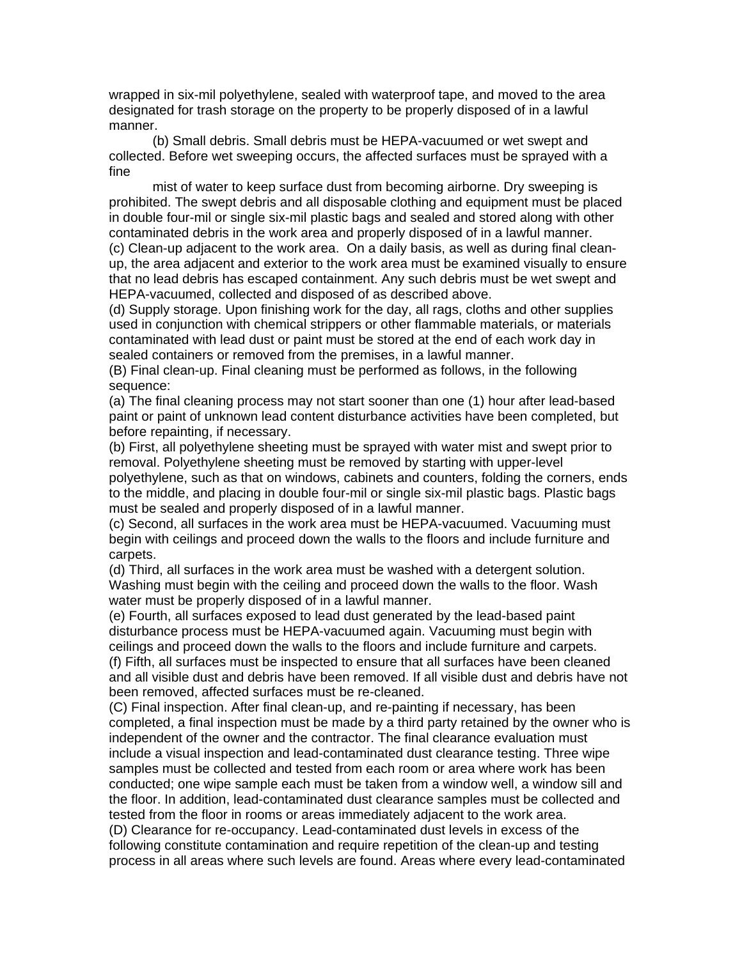wrapped in six-mil polyethylene, sealed with waterproof tape, and moved to the area designated for trash storage on the property to be properly disposed of in a lawful manner.

 (b) Small debris. Small debris must be HEPA-vacuumed or wet swept and collected. Before wet sweeping occurs, the affected surfaces must be sprayed with a fine

 mist of water to keep surface dust from becoming airborne. Dry sweeping is prohibited. The swept debris and all disposable clothing and equipment must be placed in double four-mil or single six-mil plastic bags and sealed and stored along with other contaminated debris in the work area and properly disposed of in a lawful manner. (c) Clean-up adjacent to the work area. On a daily basis, as well as during final cleanup, the area adjacent and exterior to the work area must be examined visually to ensure

that no lead debris has escaped containment. Any such debris must be wet swept and HEPA-vacuumed, collected and disposed of as described above.

(d) Supply storage. Upon finishing work for the day, all rags, cloths and other supplies used in conjunction with chemical strippers or other flammable materials, or materials contaminated with lead dust or paint must be stored at the end of each work day in sealed containers or removed from the premises, in a lawful manner.

(B) Final clean-up. Final cleaning must be performed as follows, in the following sequence:

(a) The final cleaning process may not start sooner than one (1) hour after lead-based paint or paint of unknown lead content disturbance activities have been completed, but before repainting, if necessary.

(b) First, all polyethylene sheeting must be sprayed with water mist and swept prior to removal. Polyethylene sheeting must be removed by starting with upper-level polyethylene, such as that on windows, cabinets and counters, folding the corners, ends to the middle, and placing in double four-mil or single six-mil plastic bags. Plastic bags must be sealed and properly disposed of in a lawful manner.

(c) Second, all surfaces in the work area must be HEPA-vacuumed. Vacuuming must begin with ceilings and proceed down the walls to the floors and include furniture and carpets.

(d) Third, all surfaces in the work area must be washed with a detergent solution. Washing must begin with the ceiling and proceed down the walls to the floor. Wash water must be properly disposed of in a lawful manner.

(e) Fourth, all surfaces exposed to lead dust generated by the lead-based paint disturbance process must be HEPA-vacuumed again. Vacuuming must begin with ceilings and proceed down the walls to the floors and include furniture and carpets. (f) Fifth, all surfaces must be inspected to ensure that all surfaces have been cleaned and all visible dust and debris have been removed. If all visible dust and debris have not been removed, affected surfaces must be re-cleaned.

(C) Final inspection. After final clean-up, and re-painting if necessary, has been completed, a final inspection must be made by a third party retained by the owner who is independent of the owner and the contractor. The final clearance evaluation must include a visual inspection and lead-contaminated dust clearance testing. Three wipe samples must be collected and tested from each room or area where work has been conducted; one wipe sample each must be taken from a window well, a window sill and the floor. In addition, lead-contaminated dust clearance samples must be collected and tested from the floor in rooms or areas immediately adjacent to the work area.

(D) Clearance for re-occupancy. Lead-contaminated dust levels in excess of the following constitute contamination and require repetition of the clean-up and testing process in all areas where such levels are found. Areas where every lead-contaminated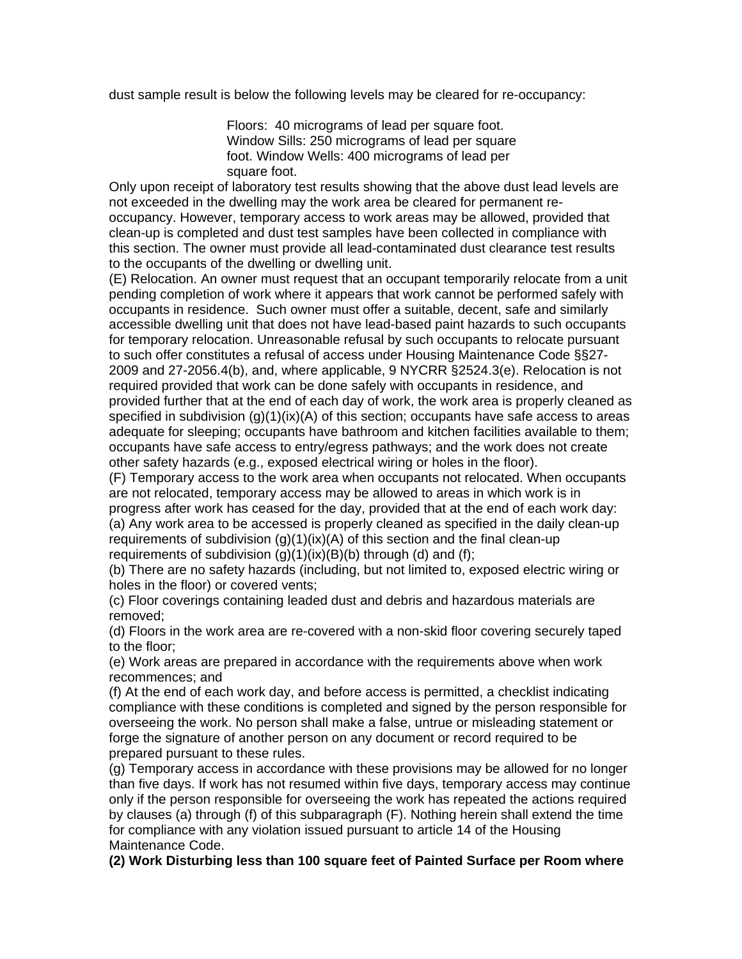dust sample result is below the following levels may be cleared for re-occupancy:

Floors: 40 micrograms of lead per square foot. Window Sills: 250 micrograms of lead per square foot. Window Wells: 400 micrograms of lead per square foot.

Only upon receipt of laboratory test results showing that the above dust lead levels are not exceeded in the dwelling may the work area be cleared for permanent reoccupancy. However, temporary access to work areas may be allowed, provided that clean-up is completed and dust test samples have been collected in compliance with this section. The owner must provide all lead-contaminated dust clearance test results to the occupants of the dwelling or dwelling unit.

(E) Relocation. An owner must request that an occupant temporarily relocate from a unit pending completion of work where it appears that work cannot be performed safely with occupants in residence. Such owner must offer a suitable, decent, safe and similarly accessible dwelling unit that does not have lead-based paint hazards to such occupants for temporary relocation. Unreasonable refusal by such occupants to relocate pursuant to such offer constitutes a refusal of access under Housing Maintenance Code §§27- 2009 and 27-2056.4(b), and, where applicable, 9 NYCRR §2524.3(e). Relocation is not required provided that work can be done safely with occupants in residence, and provided further that at the end of each day of work, the work area is properly cleaned as specified in subdivision  $(q)(1)(ix)(A)$  of this section; occupants have safe access to areas adequate for sleeping; occupants have bathroom and kitchen facilities available to them; occupants have safe access to entry/egress pathways; and the work does not create other safety hazards (e.g., exposed electrical wiring or holes in the floor).

(F) Temporary access to the work area when occupants not relocated. When occupants are not relocated, temporary access may be allowed to areas in which work is in progress after work has ceased for the day, provided that at the end of each work day: (a) Any work area to be accessed is properly cleaned as specified in the daily clean-up requirements of subdivision (g)(1)(ix)(A) of this section and the final clean-up requirements of subdivision  $(g)(1)(ix)(B)(b)$  through  $(d)$  and  $(f)$ ;

(b) There are no safety hazards (including, but not limited to, exposed electric wiring or holes in the floor) or covered vents;

(c) Floor coverings containing leaded dust and debris and hazardous materials are removed;

(d) Floors in the work area are re-covered with a non-skid floor covering securely taped to the floor;

(e) Work areas are prepared in accordance with the requirements above when work recommences; and

(f) At the end of each work day, and before access is permitted, a checklist indicating compliance with these conditions is completed and signed by the person responsible for overseeing the work. No person shall make a false, untrue or misleading statement or forge the signature of another person on any document or record required to be prepared pursuant to these rules.

(g) Temporary access in accordance with these provisions may be allowed for no longer than five days. If work has not resumed within five days, temporary access may continue only if the person responsible for overseeing the work has repeated the actions required by clauses (a) through (f) of this subparagraph (F). Nothing herein shall extend the time for compliance with any violation issued pursuant to article 14 of the Housing Maintenance Code.

**(2) Work Disturbing less than 100 square feet of Painted Surface per Room where**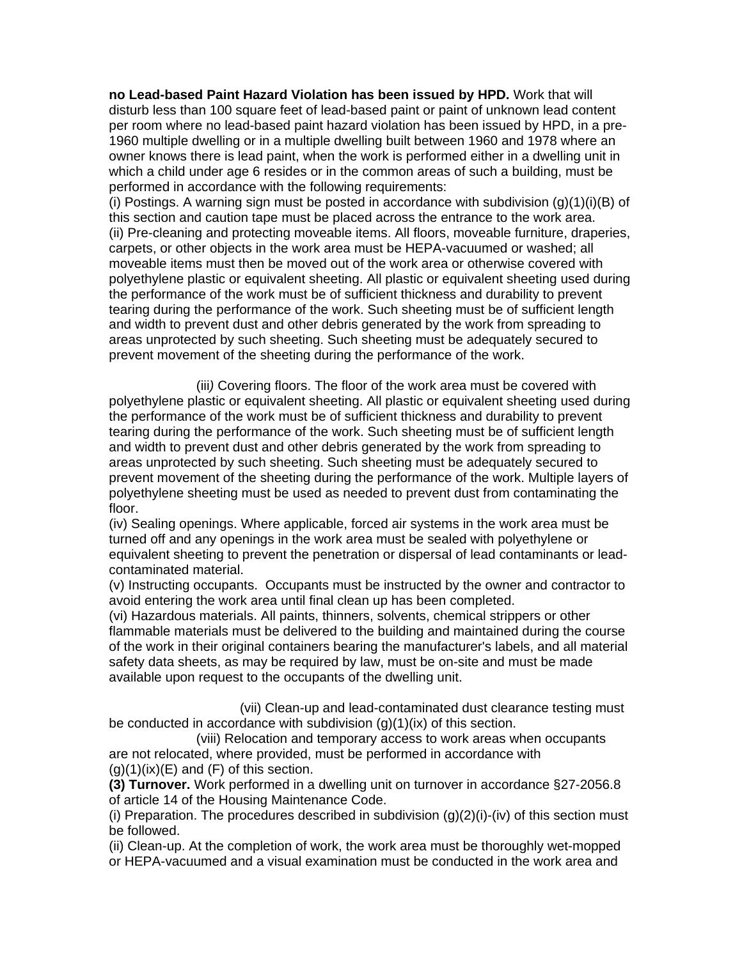**no Lead-based Paint Hazard Violation has been issued by HPD.** Work that will disturb less than 100 square feet of lead-based paint or paint of unknown lead content per room where no lead-based paint hazard violation has been issued by HPD, in a pre-1960 multiple dwelling or in a multiple dwelling built between 1960 and 1978 where an owner knows there is lead paint, when the work is performed either in a dwelling unit in which a child under age 6 resides or in the common areas of such a building, must be performed in accordance with the following requirements:

(i) Postings. A warning sign must be posted in accordance with subdivision  $(g)(1)(i)(B)$  of this section and caution tape must be placed across the entrance to the work area. (ii) Pre-cleaning and protecting moveable items. All floors, moveable furniture, draperies, carpets, or other objects in the work area must be HEPA-vacuumed or washed; all moveable items must then be moved out of the work area or otherwise covered with polyethylene plastic or equivalent sheeting. All plastic or equivalent sheeting used during the performance of the work must be of sufficient thickness and durability to prevent tearing during the performance of the work. Such sheeting must be of sufficient length and width to prevent dust and other debris generated by the work from spreading to areas unprotected by such sheeting. Such sheeting must be adequately secured to prevent movement of the sheeting during the performance of the work.

(iii*)* Covering floors. The floor of the work area must be covered with polyethylene plastic or equivalent sheeting. All plastic or equivalent sheeting used during the performance of the work must be of sufficient thickness and durability to prevent tearing during the performance of the work. Such sheeting must be of sufficient length and width to prevent dust and other debris generated by the work from spreading to areas unprotected by such sheeting. Such sheeting must be adequately secured to prevent movement of the sheeting during the performance of the work. Multiple layers of polyethylene sheeting must be used as needed to prevent dust from contaminating the floor.

(iv) Sealing openings. Where applicable, forced air systems in the work area must be turned off and any openings in the work area must be sealed with polyethylene or equivalent sheeting to prevent the penetration or dispersal of lead contaminants or leadcontaminated material.

(v) Instructing occupants. Occupants must be instructed by the owner and contractor to avoid entering the work area until final clean up has been completed.

(vi) Hazardous materials. All paints, thinners, solvents, chemical strippers or other flammable materials must be delivered to the building and maintained during the course of the work in their original containers bearing the manufacturer's labels, and all material safety data sheets, as may be required by law, must be on-site and must be made available upon request to the occupants of the dwelling unit.

(vii) Clean-up and lead-contaminated dust clearance testing must be conducted in accordance with subdivision  $(g)(1)(ix)$  of this section.

(viii) Relocation and temporary access to work areas when occupants are not relocated, where provided, must be performed in accordance with  $(g)(1)(ix)(E)$  and  $(F)$  of this section.

**(3) Turnover.** Work performed in a dwelling unit on turnover in accordance §27-2056.8 of article 14 of the Housing Maintenance Code.

(i) Preparation. The procedures described in subdivision  $(g)(2)(i)$ -(iv) of this section must be followed.

(ii) Clean-up. At the completion of work, the work area must be thoroughly wet-mopped or HEPA-vacuumed and a visual examination must be conducted in the work area and